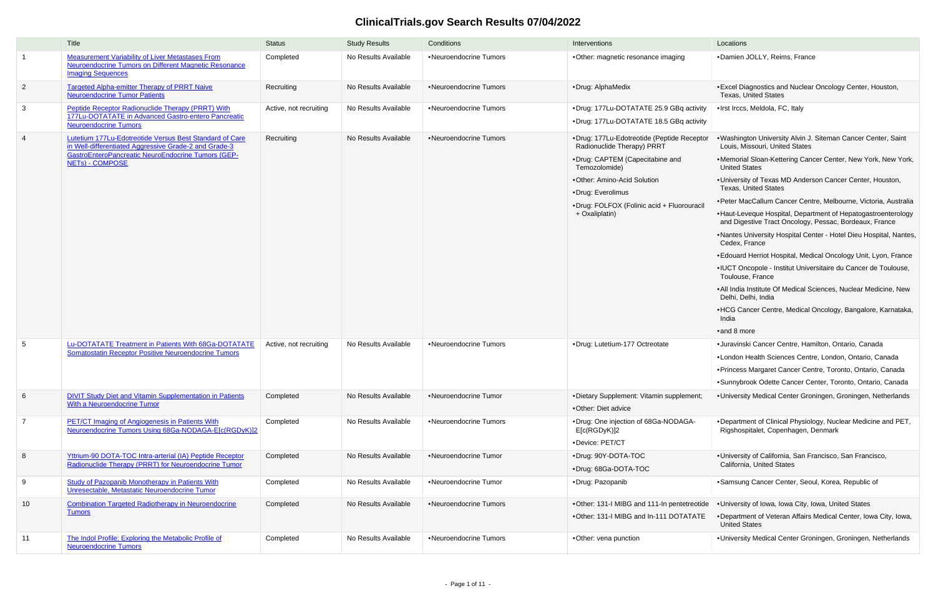## **ClinicalTrials.gov Search Results 07/04/2022**

|                | Title                                                                                                                                                                                     | <b>Status</b>          | <b>Study Results</b> | Conditions             | Interventions                                                                                                                                                                                                                                    | Locations                                                                                                                                                                                                                                                                                                                                                                                                                                                                                                                                                                                                                                                                                                                                                                                                                                                                                                            |
|----------------|-------------------------------------------------------------------------------------------------------------------------------------------------------------------------------------------|------------------------|----------------------|------------------------|--------------------------------------------------------------------------------------------------------------------------------------------------------------------------------------------------------------------------------------------------|----------------------------------------------------------------------------------------------------------------------------------------------------------------------------------------------------------------------------------------------------------------------------------------------------------------------------------------------------------------------------------------------------------------------------------------------------------------------------------------------------------------------------------------------------------------------------------------------------------------------------------------------------------------------------------------------------------------------------------------------------------------------------------------------------------------------------------------------------------------------------------------------------------------------|
| $\overline{1}$ | <b>Measurement Variability of Liver Metastases From</b><br>Neuroendocrine Tumors on Different Magnetic Resonance<br><b>Imaging Sequences</b>                                              | Completed              | No Results Available | •Neuroendocrine Tumors | •Other: magnetic resonance imaging                                                                                                                                                                                                               | ·Damien JOLLY, Reims, France                                                                                                                                                                                                                                                                                                                                                                                                                                                                                                                                                                                                                                                                                                                                                                                                                                                                                         |
| $\overline{2}$ | <b>Targeted Alpha-emitter Therapy of PRRT Naive</b><br><b>Neuroendocrine Tumor Patients</b>                                                                                               | Recruiting             | No Results Available | •Neuroendocrine Tumors | ·Drug: AlphaMedix                                                                                                                                                                                                                                | • Excel Diagnostics and Nuclear Oncology Center, Houston,<br><b>Texas, United States</b>                                                                                                                                                                                                                                                                                                                                                                                                                                                                                                                                                                                                                                                                                                                                                                                                                             |
| 3              | Peptide Receptor Radionuclide Therapy (PRRT) With<br>177Lu-DOTATATE in Advanced Gastro-entero Pancreatic<br><b>Neuroendocrine Tumors</b>                                                  | Active, not recruiting | No Results Available | •Neuroendocrine Tumors | •Drug: 177Lu-DOTATATE 25.9 GBq activity<br>•Drug: 177Lu-DOTATATE 18.5 GBq activity                                                                                                                                                               | ·Irst Irccs, Meldola, FC, Italy                                                                                                                                                                                                                                                                                                                                                                                                                                                                                                                                                                                                                                                                                                                                                                                                                                                                                      |
| $\overline{4}$ | Lutetium 177Lu-Edotreotide Versus Best Standard of Care<br>in Well-differentiated Aggressive Grade-2 and Grade-3<br>GastroEnteroPancreatic NeuroEndocrine Tumors (GEP-<br>NETs) - COMPOSE | Recruiting             | No Results Available | •Neuroendocrine Tumors | ·Drug: 177Lu-Edotreotide (Peptide Receptor<br>Radionuclide Therapy) PRRT<br>•Drug: CAPTEM (Capecitabine and<br>Temozolomide)<br>•Other: Amino-Acid Solution<br>•Drug: Everolimus<br>•Drug: FOLFOX (Folinic acid + Fluorouracil<br>+ Oxaliplatin) | . Washington University Alvin J. Siteman Cancer Center, Saint<br>Louis, Missouri, United States<br>.Memorial Sloan-Kettering Cancer Center, New York, New York,<br><b>United States</b><br>. University of Texas MD Anderson Cancer Center, Houston,<br><b>Texas, United States</b><br>• Peter MacCallum Cancer Centre, Melbourne, Victoria, Australia<br>• Haut-Leveque Hospital, Department of Hepatogastroenterology<br>and Digestive Tract Oncology, Pessac, Bordeaux, France<br>.Nantes University Hospital Center - Hotel Dieu Hospital, Nantes,<br>Cedex, France<br>• Edouard Herriot Hospital, Medical Oncology Unit, Lyon, France<br>• IUCT Oncopole - Institut Universitaire du Cancer de Toulouse,<br>Toulouse, France<br>. All India Institute Of Medical Sciences, Nuclear Medicine, New<br>Delhi, Delhi, India<br>• HCG Cancer Centre, Medical Oncology, Bangalore, Karnataka,<br>India<br>•and 8 more |
| -5             | Lu-DOTATATE Treatment in Patients With 68Ga-DOTATATE<br><b>Somatostatin Receptor Positive Neuroendocrine Tumors</b>                                                                       | Active, not recruiting | No Results Available | •Neuroendocrine Tumors | ·Drug: Lutetium-177 Octreotate                                                                                                                                                                                                                   | · Juravinski Cancer Centre, Hamilton, Ontario, Canada<br>•London Health Sciences Centre, London, Ontario, Canada<br>• Princess Margaret Cancer Centre, Toronto, Ontario, Canada<br>•Sunnybrook Odette Cancer Center, Toronto, Ontario, Canada                                                                                                                                                                                                                                                                                                                                                                                                                                                                                                                                                                                                                                                                        |
| 6              | <b>DIVIT Study Diet and Vitamin Supplementation in Patients</b><br><b>With a Neuroendocrine Tumor</b>                                                                                     | Completed              | No Results Available | •Neuroendocrine Tumor  | •Dietary Supplement: Vitamin supplement;<br>•Other: Diet advice                                                                                                                                                                                  | •University Medical Center Groningen, Groningen, Netherlands                                                                                                                                                                                                                                                                                                                                                                                                                                                                                                                                                                                                                                                                                                                                                                                                                                                         |
| $\overline{7}$ | <b>PET/CT Imaging of Angiogenesis in Patients With</b><br>Neuroendocrine Tumors Using 68Ga-NODAGA-E[c(RGDyK)]2                                                                            | Completed              | No Results Available | •Neuroendocrine Tumors | •Drug: One injection of 68Ga-NODAGA-<br>E[c(RGDyK)]2<br>·Device: PET/CT                                                                                                                                                                          | .Department of Clinical Physiology, Nuclear Medicine and PET,<br>Rigshospitalet, Copenhagen, Denmark                                                                                                                                                                                                                                                                                                                                                                                                                                                                                                                                                                                                                                                                                                                                                                                                                 |
| 8              | Yttrium-90 DOTA-TOC Intra-arterial (IA) Peptide Receptor<br>Radionuclide Therapy (PRRT) for Neuroendocrine Tumor                                                                          | Completed              | No Results Available | •Neuroendocrine Tumor  | •Drug: 90Y-DOTA-TOC<br>•Drug: 68Ga-DOTA-TOC                                                                                                                                                                                                      | •University of California, San Francisco, San Francisco,<br>California, United States                                                                                                                                                                                                                                                                                                                                                                                                                                                                                                                                                                                                                                                                                                                                                                                                                                |
| 9              | <b>Study of Pazopanib Monotherapy in Patients With</b><br>Unresectable, Metastatic Neuroendocrine Tumor                                                                                   | Completed              | No Results Available | •Neuroendocrine Tumor  | •Drug: Pazopanib                                                                                                                                                                                                                                 | •Samsung Cancer Center, Seoul, Korea, Republic of                                                                                                                                                                                                                                                                                                                                                                                                                                                                                                                                                                                                                                                                                                                                                                                                                                                                    |
| 10             | <b>Combination Targeted Radiotherapy in Neuroendocrine</b><br><b>Tumors</b>                                                                                                               | Completed              | No Results Available | •Neuroendocrine Tumors | . Other: 131-I MIBG and 111-In pentetreotide<br>.Other: 131-I MIBG and In-111 DOTATATE                                                                                                                                                           | . University of Iowa, Iowa City, Iowa, United States<br>.Department of Veteran Affairs Medical Center, Iowa City, Iowa,<br><b>United States</b>                                                                                                                                                                                                                                                                                                                                                                                                                                                                                                                                                                                                                                                                                                                                                                      |
| 11             | The Indol Profile; Exploring the Metabolic Profile of<br><b>Neuroendocrine Tumors</b>                                                                                                     | Completed              | No Results Available | •Neuroendocrine Tumors | •Other: vena punction                                                                                                                                                                                                                            | • University Medical Center Groningen, Groningen, Netherlands                                                                                                                                                                                                                                                                                                                                                                                                                                                                                                                                                                                                                                                                                                                                                                                                                                                        |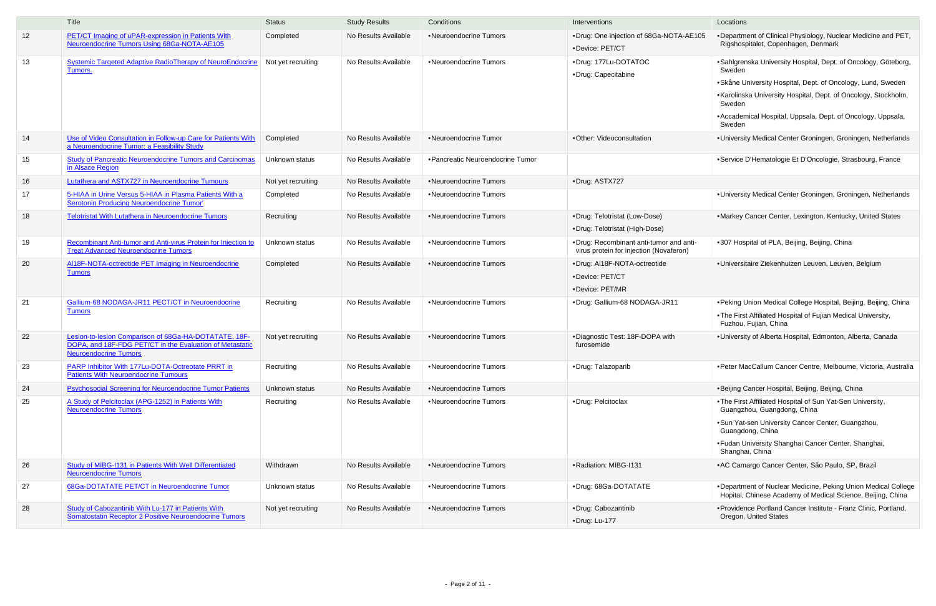|    | Title                                                                                                                                             | <b>Status</b>      | <b>Study Results</b> | Conditions                        | Interventions                                                                      | Locations                                                                                                                                                                                                                                                                                      |
|----|---------------------------------------------------------------------------------------------------------------------------------------------------|--------------------|----------------------|-----------------------------------|------------------------------------------------------------------------------------|------------------------------------------------------------------------------------------------------------------------------------------------------------------------------------------------------------------------------------------------------------------------------------------------|
| 12 | PET/CT Imaging of uPAR-expression in Patients With<br>Neuroendocrine Tumors Using 68Ga-NOTA-AE105                                                 | Completed          | No Results Available | •Neuroendocrine Tumors            | •Drug: One injection of 68Ga-NOTA-AE105<br>•Device: PET/CT                         | . Department of Clinical Physiology, Nuclear Medicine and PET<br>Rigshospitalet, Copenhagen, Denmark                                                                                                                                                                                           |
| 13 | <b>Systemic Targeted Adaptive RadioTherapy of NeuroEndocrine</b><br>Tumors.                                                                       | Not yet recruiting | No Results Available | •Neuroendocrine Tumors            | •Drug: 177Lu-DOTATOC<br>•Drug: Capecitabine                                        | •Sahlgrenska University Hospital, Dept. of Oncology, Göteborg,<br>Sweden<br>• Skåne University Hospital, Dept. of Oncology, Lund, Sweden<br>•Karolinska University Hospital, Dept. of Oncology, Stockholm,<br>Sweden<br>• Accademical Hospital, Uppsala, Dept. of Oncology, Uppsala,<br>Sweden |
| 14 | Use of Video Consultation in Follow-up Care for Patients With<br>a Neuroendocrine Tumor: a Feasibility Study                                      | Completed          | No Results Available | •Neuroendocrine Tumor             | ·Other: Videoconsultation                                                          | •University Medical Center Groningen, Groningen, Netherlands                                                                                                                                                                                                                                   |
| 15 | <b>Study of Pancreatic Neuroendocrine Tumors and Carcinomas</b><br>in Alsace Region                                                               | Unknown status     | No Results Available | • Pancreatic Neuroendocrine Tumor |                                                                                    | •Service D'Hematologie Et D'Oncologie, Strasbourg, France                                                                                                                                                                                                                                      |
| 16 | <b>Lutathera and ASTX727 in Neuroendocrine Tumours</b>                                                                                            | Not yet recruiting | No Results Available | •Neuroendocrine Tumors            | ·Drug: ASTX727                                                                     |                                                                                                                                                                                                                                                                                                |
| 17 | 5-HIAA in Urine Versus 5-HIAA in Plasma Patients With a<br><b>Serotonin Producing Neuroendocrine Tumor'</b>                                       | Completed          | No Results Available | •Neuroendocrine Tumors            |                                                                                    | •University Medical Center Groningen, Groningen, Netherlands                                                                                                                                                                                                                                   |
| 18 | <b>Telotristat With Lutathera in Neuroendocrine Tumors</b>                                                                                        | Recruiting         | No Results Available | •Neuroendocrine Tumors            | •Drug: Telotristat (Low-Dose)<br>•Drug: Telotristat (High-Dose)                    | •Markey Cancer Center, Lexington, Kentucky, United States                                                                                                                                                                                                                                      |
| 19 | Recombinant Anti-tumor and Anti-virus Protein for Injection to<br><b>Treat Advanced Neuroendocrine Tumors</b>                                     | Unknown status     | No Results Available | •Neuroendocrine Tumors            | •Drug: Recombinant anti-tumor and anti-<br>virus protein for injection (Novaferon) | •307 Hospital of PLA, Beijing, Beijing, China                                                                                                                                                                                                                                                  |
| 20 | AI18F-NOTA-octreotide PET Imaging in Neuroendocrine<br><b>Tumors</b>                                                                              | Completed          | No Results Available | •Neuroendocrine Tumors            | ·Drug: AI18F-NOTA-octreotide<br>•Device: PET/CT<br>•Device: PET/MR                 | ·Universitaire Ziekenhuizen Leuven, Leuven, Belgium                                                                                                                                                                                                                                            |
| 21 | Gallium-68 NODAGA-JR11 PECT/CT in Neuroendocrine<br><b>Tumors</b>                                                                                 | Recruiting         | No Results Available | •Neuroendocrine Tumors            | •Drug: Gallium-68 NODAGA-JR11                                                      | • Peking Union Medical College Hospital, Beijing, Beijing, China<br>.The First Affiliated Hospital of Fujian Medical University,<br>Fuzhou, Fujian, China                                                                                                                                      |
| 22 | Lesion-to-lesion Comparison of 68Ga-HA-DOTATATE, 18F-<br>DOPA, and 18F-FDG PET/CT in the Evaluation of Metastatic<br><b>Neuroendocrine Tumors</b> | Not yet recruiting | No Results Available | •Neuroendocrine Tumors            | •Diagnostic Test: 18F-DOPA with<br>furosemide                                      | •University of Alberta Hospital, Edmonton, Alberta, Canada                                                                                                                                                                                                                                     |
| 23 | PARP Inhibitor With 177Lu-DOTA-Octreotate PRRT in<br><b>Patients With Neuroendocrine Tumours</b>                                                  | Recruiting         | No Results Available | •Neuroendocrine Tumors            | ·Drug: Talazoparib                                                                 | •Peter MacCallum Cancer Centre, Melbourne, Victoria, Australia                                                                                                                                                                                                                                 |
| 24 | <b>Psychosocial Screening for Neuroendocrine Tumor Patients</b>                                                                                   | Unknown status     | No Results Available | •Neuroendocrine Tumors            |                                                                                    | •Beijing Cancer Hospital, Beijing, Beijing, China                                                                                                                                                                                                                                              |
| 25 | A Study of Pelcitoclax (APG-1252) in Patients With<br><b>Neuroendocrine Tumors</b>                                                                | Recruiting         | No Results Available | •Neuroendocrine Tumors            | ·Drug: Pelcitoclax                                                                 | .The First Affiliated Hospital of Sun Yat-Sen University,<br>Guangzhou, Guangdong, China<br>• Sun Yat-sen University Cancer Center, Guangzhou,<br>Guangdong, China<br>•Fudan University Shanghai Cancer Center, Shanghai,<br>Shanghai, China                                                   |
| 26 | Study of MIBG-1131 in Patients With Well Differentiated<br><b>Neuroendocrine Tumors</b>                                                           | Withdrawn          | No Results Available | •Neuroendocrine Tumors            | • Radiation: MIBG-I131                                                             | • AC Camargo Cancer Center, São Paulo, SP, Brazil                                                                                                                                                                                                                                              |
| 27 | 68Ga-DOTATATE PET/CT in Neuroendocrine Tumor                                                                                                      | Unknown status     | No Results Available | •Neuroendocrine Tumors            | •Drug: 68Ga-DOTATATE                                                               | •Department of Nuclear Medicine, Peking Union Medical College<br>Hopital, Chinese Academy of Medical Science, Beijing, China                                                                                                                                                                   |
| 28 | Study of Cabozantinib With Lu-177 in Patients With<br>Somatostatin Receptor 2 Positive Neuroendocrine Tumors                                      | Not yet recruiting | No Results Available | •Neuroendocrine Tumors            | •Drug: Cabozantinib<br>·Drug: Lu-177                                               | • Providence Portland Cancer Institute - Franz Clinic, Portland,<br>Oregon, United States                                                                                                                                                                                                      |

|      | Locations                                                                                                                     |
|------|-------------------------------------------------------------------------------------------------------------------------------|
| E105 | . Department of Clinical Physiology, Nuclear Medicine and PET,<br>Rigshospitalet, Copenhagen, Denmark                         |
|      | •Sahlgrenska University Hospital, Dept. of Oncology, Göteborg,<br>Sweden                                                      |
|      | • Skåne University Hospital, Dept. of Oncology, Lund, Sweden                                                                  |
|      | •Karolinska University Hospital, Dept. of Oncology, Stockholm,<br>Sweden                                                      |
|      | • Accademical Hospital, Uppsala, Dept. of Oncology, Uppsala,<br>Sweden                                                        |
|      | . University Medical Center Groningen, Groningen, Netherlands                                                                 |
|      | •Service D'Hematologie Et D'Oncologie, Strasbourg, France                                                                     |
|      |                                                                                                                               |
|      | •University Medical Center Groningen, Groningen, Netherlands                                                                  |
|      | •Markey Cancer Center, Lexington, Kentucky, United States                                                                     |
| าti- | •307 Hospital of PLA, Beijing, Beijing, China                                                                                 |
|      | ·Universitaire Ziekenhuizen Leuven, Leuven, Belgium                                                                           |
|      | • Peking Union Medical College Hospital, Beijing, Beijing, China                                                              |
|      | . The First Affiliated Hospital of Fujian Medical University,<br>Fuzhou, Fujian, China                                        |
|      | . University of Alberta Hospital, Edmonton, Alberta, Canada                                                                   |
|      | • Peter MacCallum Cancer Centre, Melbourne, Victoria, Australia                                                               |
|      | •Beijing Cancer Hospital, Beijing, Beijing, China                                                                             |
|      | . The First Affiliated Hospital of Sun Yat-Sen University,<br>Guangzhou, Guangdong, China                                     |
|      | .Sun Yat-sen University Cancer Center, Guangzhou,<br>Guangdong, China                                                         |
|      | •Fudan University Shanghai Cancer Center, Shanghai,<br>Shanghai, China                                                        |
|      | • AC Camargo Cancer Center, São Paulo, SP, Brazil                                                                             |
|      | . Department of Nuclear Medicine, Peking Union Medical College<br>Hopital, Chinese Academy of Medical Science, Beijing, China |
|      | • Providence Portland Cancer Institute - Franz Clinic, Portland,<br>Oregon, United States                                     |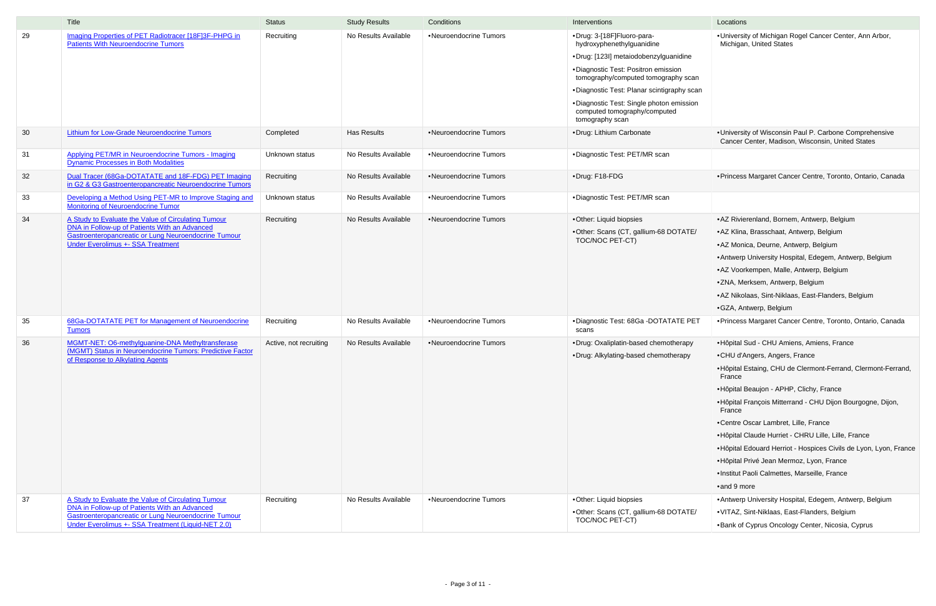|    | Title                                                                                                          | <b>Status</b>          | <b>Study Results</b> | Conditions             | Interventions                                                                               | Locations                                                                                                   |
|----|----------------------------------------------------------------------------------------------------------------|------------------------|----------------------|------------------------|---------------------------------------------------------------------------------------------|-------------------------------------------------------------------------------------------------------------|
| 29 | Imaging Properties of PET Radiotracer [18F]3F-PHPG in<br><b>Patients With Neuroendocrine Tumors</b>            | Recruiting             | No Results Available | •Neuroendocrine Tumors | •Drug: 3-[18F]Fluoro-para-<br>hydroxyphenethylguanidine                                     | . University of Michigan Rogel Cancer Center, Ann Arbor,<br>Michigan, United States                         |
|    |                                                                                                                |                        |                      |                        | •Drug: [123I] metaiodobenzylguanidine                                                       |                                                                                                             |
|    |                                                                                                                |                        |                      |                        | •Diagnostic Test: Positron emission<br>tomography/computed tomography scan                  |                                                                                                             |
|    |                                                                                                                |                        |                      |                        | .Diagnostic Test: Planar scintigraphy scan                                                  |                                                                                                             |
|    |                                                                                                                |                        |                      |                        | •Diagnostic Test: Single photon emission<br>computed tomography/computed<br>tomography scan |                                                                                                             |
| 30 | <b>Lithium for Low-Grade Neuroendocrine Tumors</b>                                                             | Completed              | <b>Has Results</b>   | •Neuroendocrine Tumors | •Drug: Lithium Carbonate                                                                    | . University of Wisconsin Paul P. Carbone Comprehensive<br>Cancer Center, Madison, Wisconsin, United States |
| 31 | Applying PET/MR in Neuroendocrine Tumors - Imaging<br><b>Dynamic Processes in Both Modalities</b>              | Unknown status         | No Results Available | •Neuroendocrine Tumors | •Diagnostic Test: PET/MR scan                                                               |                                                                                                             |
| 32 | Dual Tracer (68Ga-DOTATATE and 18F-FDG) PET Imaging<br>in G2 & G3 Gastroenteropancreatic Neuroendocrine Tumors | Recruiting             | No Results Available | •Neuroendocrine Tumors | •Drug: F18-FDG                                                                              | • Princess Margaret Cancer Centre, Toronto, Ontario, Canada                                                 |
| 33 | Developing a Method Using PET-MR to Improve Staging and<br><b>Monitoring of Neuroendocrine Tumor</b>           | Unknown status         | No Results Available | •Neuroendocrine Tumors | ·Diagnostic Test: PET/MR scan                                                               |                                                                                                             |
| 34 | A Study to Evaluate the Value of Circulating Tumour                                                            | Recruiting             | No Results Available | •Neuroendocrine Tumors | •Other: Liquid biopsies                                                                     | • AZ Rivierenland, Bornem, Antwerp, Belgium                                                                 |
|    | DNA in Follow-up of Patients With an Advanced<br>Gastroenteropancreatic or Lung Neuroendocrine Tumour          |                        |                      |                        | •Other: Scans (CT, gallium-68 DOTATE/                                                       | • AZ Klina, Brasschaat, Antwerp, Belgium                                                                    |
|    | <b>Under Everolimus +- SSA Treatment</b>                                                                       |                        |                      |                        | TOC/NOC PET-CT)                                                                             | • AZ Monica, Deurne, Antwerp, Belgium                                                                       |
|    |                                                                                                                |                        |                      |                        |                                                                                             | • Antwerp University Hospital, Edegem, Antwerp, Belgium                                                     |
|    |                                                                                                                |                        |                      |                        |                                                                                             | •AZ Voorkempen, Malle, Antwerp, Belgium                                                                     |
|    |                                                                                                                |                        |                      |                        |                                                                                             | •ZNA, Merksem, Antwerp, Belgium                                                                             |
|    |                                                                                                                |                        |                      |                        |                                                                                             | • AZ Nikolaas, Sint-Niklaas, East-Flanders, Belgium                                                         |
|    |                                                                                                                |                        |                      |                        |                                                                                             | •GZA, Antwerp, Belgium                                                                                      |
| 35 | 68Ga-DOTATATE PET for Management of Neuroendocrine<br><b>Tumors</b>                                            | Recruiting             | No Results Available | •Neuroendocrine Tumors | •Diagnostic Test: 68Ga -DOTATATE PET<br>scans                                               | · Princess Margaret Cancer Centre, Toronto, Ontario, Canada                                                 |
| 36 | MGMT-NET: O6-methylguanine-DNA Methyltransferase                                                               | Active, not recruiting | No Results Available | •Neuroendocrine Tumors | •Drug: Oxaliplatin-based chemotherapy                                                       | • Hôpital Sud - CHU Amiens, Amiens, France                                                                  |
|    | (MGMT) Status in Neuroendocrine Tumors: Predictive Factor<br>of Response to Alkylating Agents                  |                        |                      |                        | •Drug: Alkylating-based chemotherapy                                                        | •CHU d'Angers, Angers, France                                                                               |
|    |                                                                                                                |                        |                      |                        |                                                                                             | • Hôpital Estaing, CHU de Clermont-Ferrand, Clermont-Ferrar<br>France                                       |
|    |                                                                                                                |                        |                      |                        |                                                                                             | • Hôpital Beaujon - APHP, Clichy, France                                                                    |
|    |                                                                                                                |                        |                      |                        |                                                                                             | • Hôpital François Mitterrand - CHU Dijon Bourgogne, Dijon,<br>France                                       |
|    |                                                                                                                |                        |                      |                        |                                                                                             | •Centre Oscar Lambret, Lille, France                                                                        |
|    |                                                                                                                |                        |                      |                        |                                                                                             | • Hôpital Claude Hurriet - CHRU Lille, Lille, France                                                        |
|    |                                                                                                                |                        |                      |                        |                                                                                             | • Hôpital Edouard Herriot - Hospices Civils de Lyon, Lyon, Fra                                              |
|    |                                                                                                                |                        |                      |                        |                                                                                             | • Hôpital Privé Jean Mermoz, Lyon, France                                                                   |
|    |                                                                                                                |                        |                      |                        |                                                                                             | ·Institut Paoli Calmettes, Marseille, France                                                                |
|    |                                                                                                                |                        |                      |                        |                                                                                             | •and 9 more                                                                                                 |
| 37 | A Study to Evaluate the Value of Circulating Tumour                                                            | Recruiting             | No Results Available | •Neuroendocrine Tumors | •Other: Liquid biopsies                                                                     | • Antwerp University Hospital, Edegem, Antwerp, Belgium                                                     |
|    | DNA in Follow-up of Patients With an Advanced<br>Gastroenteropancreatic or Lung Neuroendocrine Tumour          |                        |                      |                        | •Other: Scans (CT, gallium-68 DOTATE/                                                       | ·VITAZ, Sint-Niklaas, East-Flanders, Belgium                                                                |
|    | Under Everolimus +- SSA Treatment (Liquid-NET 2.0)                                                             |                        |                      |                        | TOC/NOC PET-CT)                                                                             | •Bank of Cyprus Oncology Center, Nicosia, Cyprus                                                            |

|                          | Locations                                                                                                  |
|--------------------------|------------------------------------------------------------------------------------------------------------|
| е<br>can<br>scan<br>sion | . University of Michigan Rogel Cancer Center, Ann Arbor,<br>Michigan, United States                        |
|                          | •University of Wisconsin Paul P. Carbone Comprehensive<br>Cancer Center, Madison, Wisconsin, United States |
|                          |                                                                                                            |
|                          | • Princess Margaret Cancer Centre, Toronto, Ontario, Canada                                                |
|                          |                                                                                                            |
|                          | • AZ Rivierenland, Bornem, Antwerp, Belgium                                                                |
| TE/                      | • AZ Klina, Brasschaat, Antwerp, Belgium                                                                   |
|                          | •AZ Monica, Deurne, Antwerp, Belgium                                                                       |
|                          | • Antwerp University Hospital, Edegem, Antwerp, Belgium                                                    |
|                          | • AZ Voorkempen, Malle, Antwerp, Belgium                                                                   |
|                          | •ZNA, Merksem, Antwerp, Belgium                                                                            |
|                          | • AZ Nikolaas, Sint-Niklaas, East-Flanders, Belgium                                                        |
|                          | •GZA, Antwerp, Belgium                                                                                     |
| PET                      | • Princess Margaret Cancer Centre, Toronto, Ontario, Canada                                                |
| οу                       | •Hôpital Sud - CHU Amiens, Amiens, France                                                                  |
| y                        | •CHU d'Angers, Angers, France                                                                              |
|                          | • Hôpital Estaing, CHU de Clermont-Ferrand, Clermont-Ferrand,<br>France                                    |
|                          | • Hôpital Beaujon - APHP, Clichy, France                                                                   |
|                          | • Hôpital François Mitterrand - CHU Dijon Bourgogne, Dijon,<br>France                                      |
|                          | •Centre Oscar Lambret, Lille, France                                                                       |
|                          | • Hôpital Claude Hurriet - CHRU Lille, Lille, France                                                       |
|                          | • Hôpital Edouard Herriot - Hospices Civils de Lyon, Lyon, France                                          |
|                          | •Hôpital Privé Jean Mermoz, Lyon, France                                                                   |
|                          | ·Institut Paoli Calmettes, Marseille, France                                                               |
|                          | •and 9 more                                                                                                |
|                          | • Antwerp University Hospital, Edegem, Antwerp, Belgium                                                    |
| TE/                      | • VITAZ, Sint-Niklaas, East-Flanders, Belgium                                                              |
|                          | . Bank of Cyprus Oncology Center, Nicosia, Cyprus                                                          |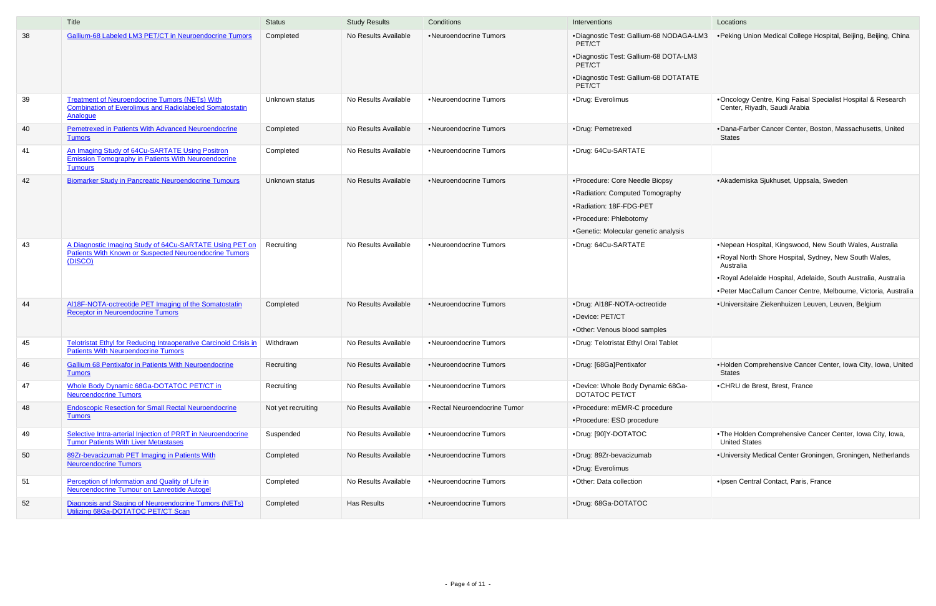|    | Title                                                                                                                               | <b>Status</b>      | <b>Study Results</b> | Conditions                   | Interventions                                                                                                                                                     | Locations                                                                                                                                                                                                                                                           |
|----|-------------------------------------------------------------------------------------------------------------------------------------|--------------------|----------------------|------------------------------|-------------------------------------------------------------------------------------------------------------------------------------------------------------------|---------------------------------------------------------------------------------------------------------------------------------------------------------------------------------------------------------------------------------------------------------------------|
| 38 | Gallium-68 Labeled LM3 PET/CT in Neuroendocrine Tumors                                                                              | Completed          | No Results Available | •Neuroendocrine Tumors       | •Diagnostic Test: Gallium-68 NODAGA-LM3<br>PET/CT<br>• Diagnostic Test: Gallium-68 DOTA-LM3<br>PET/CT<br>• Diagnostic Test: Gallium-68 DOTATATE<br>PET/CT         | • Peking Union Medical College Hospital, Beijing, Beijing, China                                                                                                                                                                                                    |
| 39 | <b>Treatment of Neuroendocrine Tumors (NETs) With</b><br><b>Combination of Everolimus and Radiolabeled Somatostatin</b><br>Analogue | Unknown status     | No Results Available | •Neuroendocrine Tumors       | •Drug: Everolimus                                                                                                                                                 | •Oncology Centre, King Faisal Specialist Hospital & Research<br>Center, Riyadh, Saudi Arabia                                                                                                                                                                        |
| 40 | Pemetrexed in Patients With Advanced Neuroendocrine<br><b>Tumors</b>                                                                | Completed          | No Results Available | •Neuroendocrine Tumors       | •Drug: Pemetrexed                                                                                                                                                 | •Dana-Farber Cancer Center, Boston, Massachusetts, United<br>States                                                                                                                                                                                                 |
| 41 | An Imaging Study of 64Cu-SARTATE Using Positron<br><b>Emission Tomography in Patients With Neuroendocrine</b><br><b>Tumours</b>     | Completed          | No Results Available | •Neuroendocrine Tumors       | ·Drug: 64Cu-SARTATE                                                                                                                                               |                                                                                                                                                                                                                                                                     |
| 42 | <b>Biomarker Study in Pancreatic Neuroendocrine Tumours</b>                                                                         | Unknown status     | No Results Available | •Neuroendocrine Tumors       | ·Procedure: Core Needle Biopsy<br>• Radiation: Computed Tomography<br>• Radiation: 18F-FDG-PET<br>•Procedure: Phlebotomy<br>• Genetic: Molecular genetic analysis | • Akademiska Sjukhuset, Uppsala, Sweden                                                                                                                                                                                                                             |
| 43 | A Diagnostic Imaging Study of 64Cu-SARTATE Using PET on<br><b>Patients With Known or Suspected Neuroendocrine Tumors</b><br>(DISCO) | Recruiting         | No Results Available | •Neuroendocrine Tumors       | ·Drug: 64Cu-SARTATE                                                                                                                                               | .Nepean Hospital, Kingswood, New South Wales, Australia<br>.Royal North Shore Hospital, Sydney, New South Wales,<br>Australia<br>• Royal Adelaide Hospital, Adelaide, South Australia, Australia<br>• Peter MacCallum Cancer Centre, Melbourne, Victoria, Australia |
| 44 | Al18F-NOTA-octreotide PET Imaging of the Somatostatin<br><b>Receptor in Neuroendocrine Tumors</b>                                   | Completed          | No Results Available | •Neuroendocrine Tumors       | ·Drug: AI18F-NOTA-octreotide<br>•Device: PET/CT<br>•Other: Venous blood samples                                                                                   | ·Universitaire Ziekenhuizen Leuven, Leuven, Belgium                                                                                                                                                                                                                 |
| 45 | <b>Telotristat Ethyl for Reducing Intraoperative Carcinoid Crisis in</b><br><b>Patients With Neuroendocrine Tumors</b>              | Withdrawn          | No Results Available | •Neuroendocrine Tumors       | .Drug: Telotristat Ethyl Oral Tablet                                                                                                                              |                                                                                                                                                                                                                                                                     |
| 46 | <b>Gallium 68 Pentixafor in Patients With Neuroendocrine</b><br><b>Tumors</b>                                                       | Recruiting         | No Results Available | •Neuroendocrine Tumors       | ·Drug: [68Ga]Pentixafor                                                                                                                                           | . Holden Comprehensive Cancer Center, Iowa City, Iowa, United<br><b>States</b>                                                                                                                                                                                      |
| 47 | Whole Body Dynamic 68Ga-DOTATOC PET/CT in<br><b>Neuroendocrine Tumors</b>                                                           | Recruiting         | No Results Available | •Neuroendocrine Tumors       | •Device: Whole Body Dynamic 68Ga-<br>DOTATOC PET/CT                                                                                                               | •CHRU de Brest, Brest, France                                                                                                                                                                                                                                       |
| 48 | <b>Endoscopic Resection for Small Rectal Neuroendocrine</b><br><b>Tumors</b>                                                        | Not yet recruiting | No Results Available | •Rectal Neuroendocrine Tumor | • Procedure: mEMR-C procedure<br>•Procedure: ESD procedure                                                                                                        |                                                                                                                                                                                                                                                                     |
| 49 | Selective Intra-arterial Injection of PRRT in Neuroendocrine<br><b>Tumor Patients With Liver Metastases</b>                         | Suspended          | No Results Available | •Neuroendocrine Tumors       | •Drug: [90]Y-DOTATOC                                                                                                                                              | .The Holden Comprehensive Cancer Center, Iowa City, Iowa,<br><b>United States</b>                                                                                                                                                                                   |
| 50 | 89Zr-bevacizumab PET Imaging in Patients With<br><b>Neuroendocrine Tumors</b>                                                       | Completed          | No Results Available | •Neuroendocrine Tumors       | ·Drug: 89Zr-bevacizumab<br>•Drug: Everolimus                                                                                                                      | . University Medical Center Groningen, Groningen, Netherlands                                                                                                                                                                                                       |
| 51 | Perception of Information and Quality of Life in<br>Neuroendocrine Tumour on Lanreotide Autogel                                     | Completed          | No Results Available | •Neuroendocrine Tumors       | ·Other: Data collection                                                                                                                                           | ·Ipsen Central Contact, Paris, France                                                                                                                                                                                                                               |
| 52 | Diagnosis and Staging of Neuroendocrine Tumors (NETs)<br>Utilizing 68Ga-DOTATOC PET/CT Scan                                         | Completed          | <b>Has Results</b>   | •Neuroendocrine Tumors       | •Drug: 68Ga-DOTATOC                                                                                                                                               |                                                                                                                                                                                                                                                                     |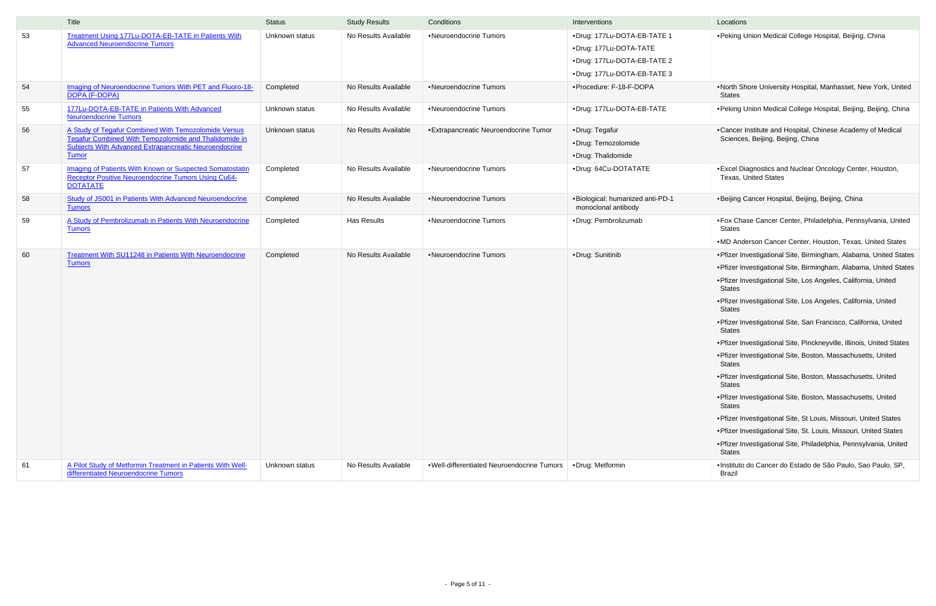|    | Title                                                                                                                                                                                         | <b>Status</b>  | <b>Study Results</b> | Conditions                                 | Interventions                                                                                                       | Locations                                                                                                                                                                                                                                                                                                                                                                                                                                                                                                                                                                                                                                                                                                                                                                                                                                                                                                                               |
|----|-----------------------------------------------------------------------------------------------------------------------------------------------------------------------------------------------|----------------|----------------------|--------------------------------------------|---------------------------------------------------------------------------------------------------------------------|-----------------------------------------------------------------------------------------------------------------------------------------------------------------------------------------------------------------------------------------------------------------------------------------------------------------------------------------------------------------------------------------------------------------------------------------------------------------------------------------------------------------------------------------------------------------------------------------------------------------------------------------------------------------------------------------------------------------------------------------------------------------------------------------------------------------------------------------------------------------------------------------------------------------------------------------|
| 53 | Treatment Using 177Lu-DOTA-EB-TATE in Patients With<br><b>Advanced Neuroendocrine Tumors</b>                                                                                                  | Unknown status | No Results Available | •Neuroendocrine Tumors                     | •Drug: 177Lu-DOTA-EB-TATE 1<br>•Drug: 177Lu-DOTA-TATE<br>•Drug: 177Lu-DOTA-EB-TATE 2<br>•Drug: 177Lu-DOTA-EB-TATE 3 | • Peking Union Medical College Hospital, Beijing, China                                                                                                                                                                                                                                                                                                                                                                                                                                                                                                                                                                                                                                                                                                                                                                                                                                                                                 |
| 54 | Imaging of Neuroendocrine Tumors With PET and Fluoro-18-<br>DOPA (F-DOPA)                                                                                                                     | Completed      | No Results Available | •Neuroendocrine Tumors                     | ·Procedure: F-18-F-DOPA                                                                                             | .North Shore University Hospital, Manhasset, New York, United<br>States                                                                                                                                                                                                                                                                                                                                                                                                                                                                                                                                                                                                                                                                                                                                                                                                                                                                 |
| 55 | 177Lu-DOTA-EB-TATE in Patients With Advanced<br><b>Neuroendocrine Tumors</b>                                                                                                                  | Unknown status | No Results Available | •Neuroendocrine Tumors                     | •Drug: 177Lu-DOTA-EB-TATE                                                                                           | • Peking Union Medical College Hospital, Beijing, Beijing, China                                                                                                                                                                                                                                                                                                                                                                                                                                                                                                                                                                                                                                                                                                                                                                                                                                                                        |
| 56 | A Study of Tegafur Combined With Temozolomide Versus<br>Tegafur Combined With Temozolomide and Thalidomide in<br><b>Subjects With Advanced Extrapancreatic Neuroendocrine</b><br><b>Tumor</b> | Unknown status | No Results Available | • Extrapancreatic Neuroendocrine Tumor     | •Drug: Tegafur<br>·Drug: Temozolomide<br>•Drug: Thalidomide                                                         | •Cancer Institute and Hospital, Chinese Academy of Medical<br>Sciences, Beijing, Beijing, China                                                                                                                                                                                                                                                                                                                                                                                                                                                                                                                                                                                                                                                                                                                                                                                                                                         |
| 57 | Imaging of Patients With Known or Suspected Somatostatin<br><b>Receptor Positive Neuroendocrine Tumors Using Cu64-</b><br><b>DOTATATE</b>                                                     | Completed      | No Results Available | •Neuroendocrine Tumors                     | •Drug: 64Cu-DOTATATE                                                                                                | • Excel Diagnostics and Nuclear Oncology Center, Houston,<br><b>Texas, United States</b>                                                                                                                                                                                                                                                                                                                                                                                                                                                                                                                                                                                                                                                                                                                                                                                                                                                |
| 58 | Study of JS001 in Patients With Advanced Neuroendocrine<br><b>Tumors</b>                                                                                                                      | Completed      | No Results Available | •Neuroendocrine Tumors                     | .Biological: humanized anti-PD-1<br>monoclonal antibody                                                             | •Beijing Cancer Hospital, Beijing, Beijing, China                                                                                                                                                                                                                                                                                                                                                                                                                                                                                                                                                                                                                                                                                                                                                                                                                                                                                       |
| 59 | A Study of Pembrolizumab in Patients With Neuroendocrine<br><b>Tumors</b>                                                                                                                     | Completed      | Has Results          | •Neuroendocrine Tumors                     | •Drug: Pembrolizumab                                                                                                | • Fox Chase Cancer Center, Philadelphia, Pennsylvania, United<br>States<br>.MD Anderson Cancer Center, Houston, Texas, United States                                                                                                                                                                                                                                                                                                                                                                                                                                                                                                                                                                                                                                                                                                                                                                                                    |
| 60 | <b>Treatment With SU11248 in Patients With Neuroendocrine</b><br><b>Tumors</b>                                                                                                                | Completed      | No Results Available | •Neuroendocrine Tumors                     | •Drug: Sunitinib                                                                                                    | • Pfizer Investigational Site, Birmingham, Alabama, United States<br>• Pfizer Investigational Site, Birmingham, Alabama, United States<br>· Pfizer Investigational Site, Los Angeles, California, United<br><b>States</b><br>• Pfizer Investigational Site, Los Angeles, California, United<br>States<br>· Pfizer Investigational Site, San Francisco, California, United<br>States<br>• Pfizer Investigational Site, Pinckneyville, Illinois, United States<br>· Pfizer Investigational Site, Boston, Massachusetts, United<br><b>States</b><br>• Pfizer Investigational Site, Boston, Massachusetts, United<br><b>States</b><br>• Pfizer Investigational Site, Boston, Massachusetts, United<br>States<br>. Pfizer Investigational Site, St Louis, Missouri, United States<br>• Pfizer Investigational Site, St. Louis, Missouri, United States<br>• Pfizer Investigational Site, Philadelphia, Pennsylvania, United<br><b>States</b> |
| 61 | A Pilot Study of Metformin Treatment in Patients With Well-<br>differentiated Neuroendocrine Tumors                                                                                           | Unknown status | No Results Available | .Well-differentiated Neuroendocrine Tumors | •Drug: Metformin                                                                                                    | ·Instituto do Cancer do Estado de São Paulo, Sao Paulo, SP,<br>Brazil                                                                                                                                                                                                                                                                                                                                                                                                                                                                                                                                                                                                                                                                                                                                                                                                                                                                   |

| Locations                                                                                        |
|--------------------------------------------------------------------------------------------------|
| . Peking Union Medical College Hospital, Beijing, China                                          |
| . North Shore University Hospital, Manhasset, New York, United<br>States                         |
| • Peking Union Medical College Hospital, Beijing, Beijing, China                                 |
| • Cancer Institute and Hospital, Chinese Academy of Medical<br>Sciences, Beijing, Beijing, China |
| • Excel Diagnostics and Nuclear Oncology Center, Houston,<br><b>Texas, United States</b>         |
| •Beijing Cancer Hospital, Beijing, Beijing, China                                                |
| • Fox Chase Cancer Center, Philadelphia, Pennsylvania, United<br>States                          |
| .MD Anderson Cancer Center, Houston, Texas, United States                                        |
| • Pfizer Investigational Site, Birmingham, Alabama, United States                                |
| • Pfizer Investigational Site, Birmingham, Alabama, United States                                |
| · Pfizer Investigational Site, Los Angeles, California, United<br>States                         |
| · Pfizer Investigational Site, Los Angeles, California, United<br>States                         |
| · Pfizer Investigational Site, San Francisco, California, United<br><b>States</b>                |
| . Pfizer Investigational Site, Pinckneyville, Illinois, United States                            |
| ·Pfizer Investigational Site, Boston, Massachusetts, United<br>States                            |
| · Pfizer Investigational Site, Boston, Massachusetts, United<br>States                           |
| · Pfizer Investigational Site, Boston, Massachusetts, United<br>States                           |
| . Pfizer Investigational Site, St Louis, Missouri, United States                                 |
| . Pfizer Investigational Site, St. Louis, Missouri, United States                                |
| · Pfizer Investigational Site, Philadelphia, Pennsylvania, United<br>States                      |
| · Instituto do Cancer do Estado de São Paulo, Sao Paulo, SP,<br>Brazil                           |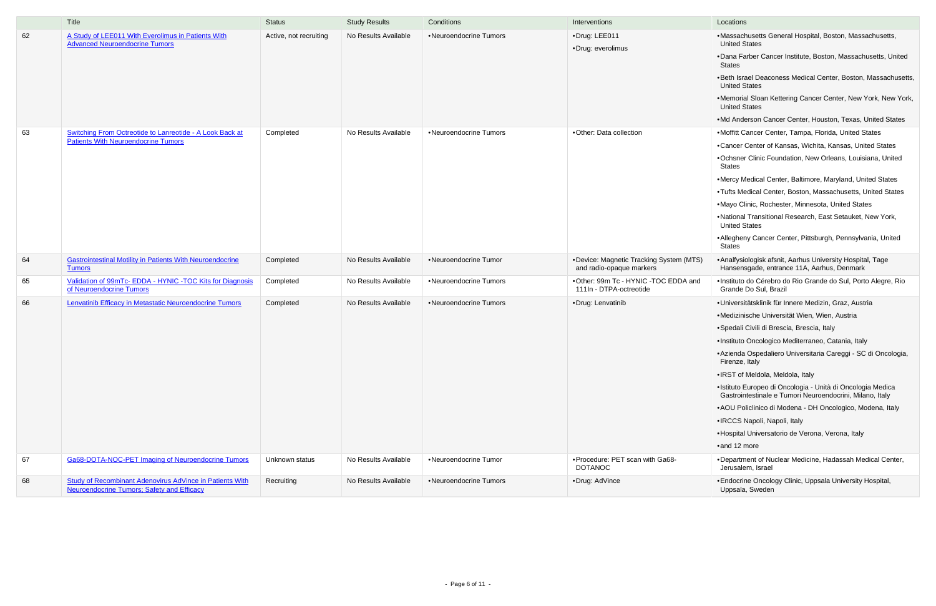|    | Title                                                                                                                | <b>Status</b>          | <b>Study Results</b> | Conditions             | Interventions                                                       | Locations                                                                                                                                                                                                                                                                                                                                                                                                                                                                                                                                                                                                                 |
|----|----------------------------------------------------------------------------------------------------------------------|------------------------|----------------------|------------------------|---------------------------------------------------------------------|---------------------------------------------------------------------------------------------------------------------------------------------------------------------------------------------------------------------------------------------------------------------------------------------------------------------------------------------------------------------------------------------------------------------------------------------------------------------------------------------------------------------------------------------------------------------------------------------------------------------------|
| 62 | A Study of LEE011 With Everolimus in Patients With<br><b>Advanced Neuroendocrine Tumors</b>                          | Active, not recruiting | No Results Available | •Neuroendocrine Tumors | ·Drug: LEE011<br>•Drug: everolimus                                  | •Massachusetts General Hospital, Boston, Massachusett<br><b>United States</b><br>•Dana Farber Cancer Institute, Boston, Massachusetts, U<br><b>States</b><br>.Beth Israel Deaconess Medical Center, Boston, Massac<br><b>United States</b><br>•Memorial Sloan Kettering Cancer Center, New York, Ne<br><b>United States</b>                                                                                                                                                                                                                                                                                               |
| 63 | Switching From Octreotide to Lanreotide - A Look Back at<br><b>Patients With Neuroendocrine Tumors</b>               | Completed              | No Results Available | •Neuroendocrine Tumors | •Other: Data collection                                             | .Md Anderson Cancer Center, Houston, Texas, United S<br>•Moffitt Cancer Center, Tampa, Florida, United States<br>•Cancer Center of Kansas, Wichita, Kansas, United State<br>•Ochsner Clinic Foundation, New Orleans, Louisiana, Un<br><b>States</b><br>•Mercy Medical Center, Baltimore, Maryland, United Stat<br>•Tufts Medical Center, Boston, Massachusetts, United St<br>.Mayo Clinic, Rochester, Minnesota, United States<br>.National Transitional Research, East Setauket, New Yor<br><b>United States</b><br>• Allegheny Cancer Center, Pittsburgh, Pennsylvania, Uni<br><b>States</b>                            |
| 64 | <b>Gastrointestinal Motility in Patients With Neuroendocrine</b><br><b>Tumors</b>                                    | Completed              | No Results Available | •Neuroendocrine Tumor  | •Device: Magnetic Tracking System (MTS)<br>and radio-opaque markers | • Analfysiologisk afsnit, Aarhus University Hospital, Tage<br>Hansensgade, entrance 11A, Aarhus, Denmark                                                                                                                                                                                                                                                                                                                                                                                                                                                                                                                  |
| 65 | Validation of 99mTc- EDDA - HYNIC -TOC Kits for Diagnosis<br>of Neuroendocrine Tumors                                | Completed              | No Results Available | •Neuroendocrine Tumors | .Other: 99m Tc - HYNIC -TOC EDDA and<br>111In - DTPA-octreotide     | ·Instituto do Cérebro do Rio Grande do Sul, Porto Alegre<br>Grande Do Sul, Brazil                                                                                                                                                                                                                                                                                                                                                                                                                                                                                                                                         |
| 66 | Lenvatinib Efficacy in Metastatic Neuroendocrine Tumors                                                              | Completed              | No Results Available | •Neuroendocrine Tumors | •Drug: Lenvatinib                                                   | · Universitätsklinik für Innere Medizin, Graz, Austria<br>•Medizinische Universität Wien, Wien, Austria<br>• Spedali Civili di Brescia, Brescia, Italy<br>· Instituto Oncologico Mediterraneo, Catania, Italy<br>• Azienda Ospedaliero Universitaria Careggi - SC di Onco<br>Firenze, Italy<br>. IRST of Meldola, Meldola, Italy<br>·Istituto Europeo di Oncologia - Unità di Oncologia Medio<br>Gastrointestinale e Tumori Neuroendocrini, Milano, Italy<br>• AOU Policlinico di Modena - DH Oncologico, Modena, It<br>•IRCCS Napoli, Napoli, Italy<br>• Hospital Universatorio de Verona, Verona, Italy<br>•and 12 more |
| 67 | Ga68-DOTA-NOC-PET Imaging of Neuroendocrine Tumors                                                                   | Unknown status         | No Results Available | •Neuroendocrine Tumor  | . Procedure: PET scan with Ga68-<br><b>DOTANOC</b>                  | •Department of Nuclear Medicine, Hadassah Medical Ce<br>Jerusalem, Israel                                                                                                                                                                                                                                                                                                                                                                                                                                                                                                                                                 |
| 68 | <b>Study of Recombinant Adenovirus AdVince in Patients With</b><br><b>Neuroendocrine Tumors; Safety and Efficacy</b> | Recruiting             | No Results Available | •Neuroendocrine Tumors | •Drug: AdVince                                                      | • Endocrine Oncology Clinic, Uppsala University Hospital,<br>Uppsala, Sweden                                                                                                                                                                                                                                                                                                                                                                                                                                                                                                                                              |

|    | Locations                                                                                                               |
|----|-------------------------------------------------------------------------------------------------------------------------|
|    | •Massachusetts General Hospital, Boston, Massachusetts,<br><b>United States</b>                                         |
|    | .Dana Farber Cancer Institute, Boston, Massachusetts, United<br>States                                                  |
|    | •Beth Israel Deaconess Medical Center, Boston, Massachusetts,<br><b>United States</b>                                   |
|    | .Memorial Sloan Kettering Cancer Center, New York, New York,<br><b>United States</b>                                    |
|    | .Md Anderson Cancer Center, Houston, Texas, United States                                                               |
|    | •Moffitt Cancer Center, Tampa, Florida, United States                                                                   |
|    | •Cancer Center of Kansas, Wichita, Kansas, United States                                                                |
|    | . Ochsner Clinic Foundation, New Orleans, Louisiana, United<br>States                                                   |
|    | .Mercy Medical Center, Baltimore, Maryland, United States                                                               |
|    | . Tufts Medical Center, Boston, Massachusetts, United States                                                            |
|    | .Mayo Clinic, Rochester, Minnesota, United States                                                                       |
|    | .National Transitional Research, East Setauket, New York,<br><b>United States</b>                                       |
|    | • Allegheny Cancer Center, Pittsburgh, Pennsylvania, United<br>States                                                   |
| S) | • Analfysiologisk afsnit, Aarhus University Hospital, Tage<br>Hansensgade, entrance 11A, Aarhus, Denmark                |
| ١d | · Instituto do Cérebro do Rio Grande do Sul, Porto Alegre, Rio<br>Grande Do Sul, Brazil                                 |
|    | •Universitätsklinik für Innere Medizin, Graz, Austria                                                                   |
|    | •Medizinische Universität Wien, Wien, Austria                                                                           |
|    | •Spedali Civili di Brescia, Brescia, Italy                                                                              |
|    | ·Instituto Oncologico Mediterraneo, Catania, Italy                                                                      |
|    | • Azienda Ospedaliero Universitaria Careggi - SC di Oncologia,<br>Firenze, Italy                                        |
|    | •IRST of Meldola, Meldola, Italy                                                                                        |
|    | • Istituto Europeo di Oncologia - Unità di Oncologia Medica<br>Gastrointestinale e Tumori Neuroendocrini, Milano, Italy |
|    | • AOU Policlinico di Modena - DH Oncologico, Modena, Italy                                                              |
|    | •IRCCS Napoli, Napoli, Italy                                                                                            |
|    | •Hospital Universatorio de Verona, Verona, Italy                                                                        |
|    | •and 12 more                                                                                                            |
|    | .Department of Nuclear Medicine, Hadassah Medical Center,<br>Jerusalem, Israel                                          |
|    | • Endocrine Oncology Clinic, Uppsala University Hospital,<br>Uppsala, Sweden                                            |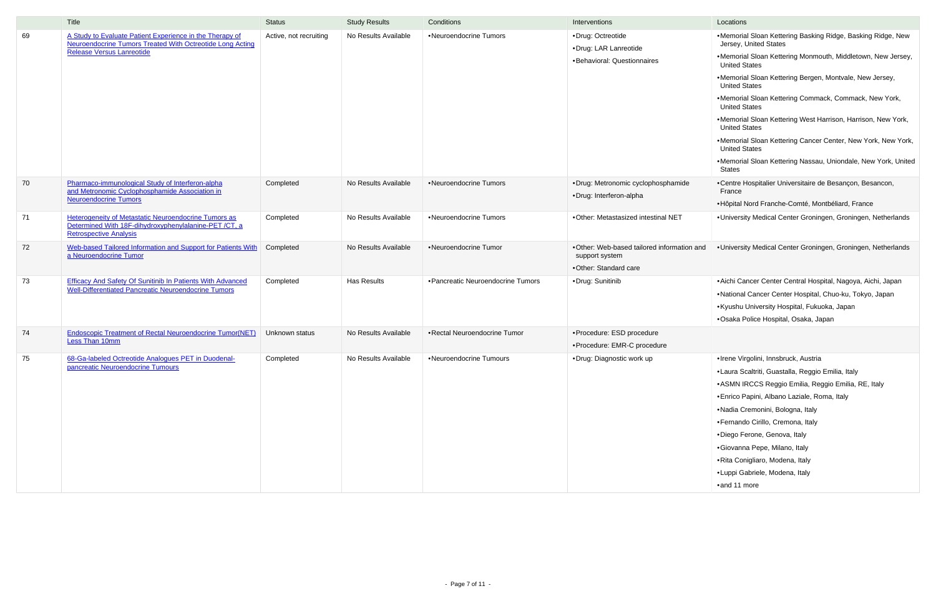|    | <b>Title</b>                                                                                                                                                     | <b>Status</b>          | <b>Study Results</b> | Conditions                                      | Interventions                                                                          | Locations                                                                                                                                                                                                                                                                                                                                                                                                                                                                                                                                                                                                         |
|----|------------------------------------------------------------------------------------------------------------------------------------------------------------------|------------------------|----------------------|-------------------------------------------------|----------------------------------------------------------------------------------------|-------------------------------------------------------------------------------------------------------------------------------------------------------------------------------------------------------------------------------------------------------------------------------------------------------------------------------------------------------------------------------------------------------------------------------------------------------------------------------------------------------------------------------------------------------------------------------------------------------------------|
| 69 | A Study to Evaluate Patient Experience in the Therapy of<br><b>Neuroendocrine Tumors Treated With Octreotide Long Acting</b><br><b>Release Versus Lanreotide</b> | Active, not recruiting | No Results Available | •Neuroendocrine Tumors                          | •Drug: Octreotide<br>•Drug: LAR Lanreotide<br>•Behavioral: Questionnaires              | .Memorial Sloan Kettering Basking Ridge, Basking Ridge, New<br>Jersey, United States<br>.Memorial Sloan Kettering Monmouth, Middletown, New Jersey,<br><b>United States</b><br>•Memorial Sloan Kettering Bergen, Montvale, New Jersey,<br><b>United States</b><br>•Memorial Sloan Kettering Commack, Commack, New York,<br><b>United States</b><br>.Memorial Sloan Kettering West Harrison, Harrison, New York,<br><b>United States</b><br>.Memorial Sloan Kettering Cancer Center, New York, New York,<br><b>United States</b><br>.Memorial Sloan Kettering Nassau, Uniondale, New York, United<br><b>States</b> |
| 70 | Pharmaco-immunological Study of Interferon-alpha<br>and Metronomic Cyclophosphamide Association in<br><b>Neuroendocrine Tumors</b>                               | Completed              | No Results Available | •Neuroendocrine Tumors                          | •Drug: Metronomic cyclophosphamide<br>•Drug: Interferon-alpha                          | •Centre Hospitalier Universitaire de Besançon, Besancon,<br>France<br>• Hôpital Nord Franche-Comté, Montbéliard, France                                                                                                                                                                                                                                                                                                                                                                                                                                                                                           |
| 71 | Heterogeneity of Metastatic Neuroendocrine Tumors as<br>Determined With 18F-dihydroxyphenylalanine-PET/CT, a<br><b>Retrospective Analysis</b>                    | Completed              | No Results Available | •Neuroendocrine Tumors                          | . Other: Metastasized intestinal NET                                                   | •University Medical Center Groningen, Groningen, Netherlands                                                                                                                                                                                                                                                                                                                                                                                                                                                                                                                                                      |
| 72 | Web-based Tailored Information and Support for Patients With<br>a Neuroendocrine Tumor                                                                           | Completed              | No Results Available | •Neuroendocrine Tumor                           | . Other: Web-based tailored information and<br>support system<br>•Other: Standard care | . University Medical Center Groningen, Groningen, Netherlands                                                                                                                                                                                                                                                                                                                                                                                                                                                                                                                                                     |
| 73 | <b>Efficacy And Safety Of Sunitinib In Patients With Advanced</b><br><b>Well-Differentiated Pancreatic Neuroendocrine Tumors</b>                                 | Completed              | <b>Has Results</b>   | • Pancreatic Neuroendocrine Tumors              | •Drug: Sunitinib                                                                       | • Aichi Cancer Center Central Hospital, Nagoya, Aichi, Japan<br>•National Cancer Center Hospital, Chuo-ku, Tokyo, Japan<br>• Kyushu University Hospital, Fukuoka, Japan<br>•Osaka Police Hospital, Osaka, Japan                                                                                                                                                                                                                                                                                                                                                                                                   |
| 74 | <b>Endoscopic Treatment of Rectal Neuroendocrine Tumor(NET)</b><br>Less Than 10mm                                                                                | Unknown status         | No Results Available | •Rectal Neuroendocrine Tumor                    | •Procedure: ESD procedure<br>• Procedure: EMR-C procedure                              |                                                                                                                                                                                                                                                                                                                                                                                                                                                                                                                                                                                                                   |
| 75 | 68-Ga-labeled Octreotide Analogues PET in Duodenal-<br>pancreatic Neuroendocrine Tumours                                                                         | Completed              |                      | No Results Available   . Neuroendocrine Tumours | •Drug: Diagnostic work up                                                              | ·Irene Virgolini, Innsbruck, Austria<br>•Laura Scaltriti, Guastalla, Reggio Emilia, Italy<br>• ASMN IRCCS Reggio Emilia, Reggio Emilia, RE, Italy<br>· Enrico Papini, Albano Laziale, Roma, Italy<br>•Nadia Cremonini, Bologna, Italy<br>• Fernando Cirillo, Cremona, Italy<br>·Diego Ferone, Genova, Italy<br>·Giovanna Pepe, Milano, Italy<br>• Rita Conigliaro, Modena, Italy<br>•Luppi Gabriele, Modena, Italy<br>•and 11 more                                                                                                                                                                                |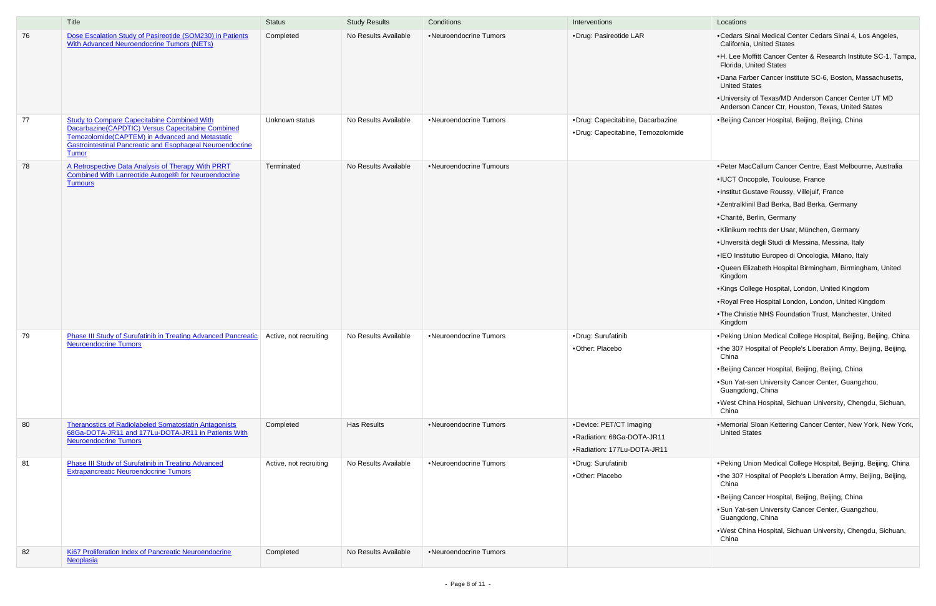- •Cedars Sinai Medical Center Cedars Sinai 4, Los Angeles, California, United States
- •H. Lee Moffitt Cancer Center & Research Institute SC-1, Tampa, Florida, United States
- •Dana Farber Cancer Institute SC-6, Boston, Massachusetts, United States
- •University of Texas/MD Anderson Cancer Center UT MD Anderson Cancer Ctr, Houston, Texas, United States
- •Beijing Cancer Hospital, Beijing, Beijing, China
- •Peter MacCallum Cancer Centre, East Melbourne, Australia
- •IUCT Oncopole, Toulouse, France
- •Institut Gustave Roussy, Villejuif, France
- •Zentralklinil Bad Berka, Bad Berka, Germany
- •Charité, Berlin, Germany
- •Klinikum rechts der Usar, München, Germany
- •Unversità degli Studi di Messina, Messina, Italy
- •IEO Institutio Europeo di Oncologia, Milano, Italy
- •Queen Elizabeth Hospital Birmingham, Birmingham, United Kingdom
- •Kings College Hospital, London, United Kingdom
- •Royal Free Hospital London, London, United Kingdom
- •The Christie NHS Foundation Trust, Manchester, United Kingdom
- •Peking Union Medical College Hospital, Beijing, Beijing, China
- •the 307 Hospital of People's Liberation Army, Beijing, Beijing, China
- •Beijing Cancer Hospital, Beijing, Beijing, China
- •Sun Yat-sen University Cancer Center, Guangzhou, Guangdong, China
- •West China Hospital, Sichuan University, Chengdu, Sichuan, China
- •Memorial Sloan Kettering Cancer Center, New York, New York, United States
- •Peking Union Medical College Hospital, Beijing, Beijing, China
- •the 307 Hospital of People's Liberation Army, Beijing, Beijing, China
- •Beijing Cancer Hospital, Beijing, Beijing, China
- •Sun Yat-sen University Cancer Center, Guangzhou, Guangdong, China
- •West China Hospital, Sichuan University, Chengdu, Sichuan, China

|    | Title                                                                                                                                                                                                                                          | <b>Status</b>          | <b>Study Results</b> | Conditions              | Interventions                                                                          | Locations                                                                                                                                                                          |
|----|------------------------------------------------------------------------------------------------------------------------------------------------------------------------------------------------------------------------------------------------|------------------------|----------------------|-------------------------|----------------------------------------------------------------------------------------|------------------------------------------------------------------------------------------------------------------------------------------------------------------------------------|
| 76 | Dose Escalation Study of Pasireotide (SOM230) in Patients<br>With Advanced Neuroendocrine Tumors (NETs)                                                                                                                                        | Completed              | No Results Available | •Neuroendocrine Tumors  | ·Drug: Pasireotide LAR                                                                 | •Cedars 9<br>Californi<br>•H. Lee N<br>Florida,<br>•Dana Fa<br><b>United S</b><br>·Universit<br>Anderso                                                                            |
| 77 | <b>Study to Compare Capecitabine Combined With</b><br>Dacarbazine(CAPDTIC) Versus Capecitabine Combined<br>Temozolomide(CAPTEM) in Advanced and Metastatic<br><b>Gastrointestinal Pancreatic and Esophageal Neuroendocrine</b><br><b>Tumor</b> | Unknown status         | No Results Available | •Neuroendocrine Tumors  | ·Drug: Capecitabine, Dacarbazine<br>·Drug: Capecitabine, Temozolomide                  | •Beijing C                                                                                                                                                                         |
| 78 | A Retrospective Data Analysis of Therapy With PRRT<br>Combined With Lanreotide Autogel® for Neuroendocrine<br><b>Tumours</b>                                                                                                                   | Terminated             | No Results Available | •Neuroendocrine Tumours |                                                                                        | • Peter Ma<br>•IUCT Or<br>·Institut G<br>·Zentralkl<br>•Charité,<br>•Klinikum<br>•Unversit<br>•IEO Insti<br>•Queen E<br>Kingdom<br>•Kings Co<br>• Royal Fr<br>•The Chri<br>Kingdom |
| 79 | <b>Phase III Study of Surufatinib in Treating Advanced Pancreatic</b><br><b>Neuroendocrine Tumors</b>                                                                                                                                          | Active, not recruiting | No Results Available | •Neuroendocrine Tumors  | ·Drug: Surufatinib<br>•Other: Placebo                                                  | • Peking L<br>$\bullet$ the 307<br>China<br>•Beijing C<br>•Sun Yat-<br>Guangd<br>•West Ch<br>China                                                                                 |
| 80 | <b>Theranostics of Radiolabeled Somatostatin Antagonists</b><br>68Ga-DOTA-JR11 and 177Lu-DOTA-JR11 in Patients With<br><b>Neuroendocrine Tumors</b>                                                                                            | Completed              | Has Results          | •Neuroendocrine Tumors  | • Device: PET/CT Imaging<br>• Radiation: 68Ga-DOTA-JR11<br>.Radiation: 177Lu-DOTA-JR11 | ·Memoria<br><b>United S</b>                                                                                                                                                        |
| 81 | <b>Phase III Study of Surufatinib in Treating Advanced</b><br><b>Extrapancreatic Neuroendocrine Tumors</b>                                                                                                                                     | Active, not recruiting | No Results Available | •Neuroendocrine Tumors  | ·Drug: Surufatinib<br>•Other: Placebo                                                  | • Peking L<br>$•$ the 307<br>China<br>•Beijing C<br>·Sun Yat-<br>Guangd<br>•West Ch<br>China                                                                                       |
| 82 | Ki67 Proliferation Index of Pancreatic Neuroendocrine<br>Neoplasia                                                                                                                                                                             | Completed              | No Results Available | •Neuroendocrine Tumors  |                                                                                        |                                                                                                                                                                                    |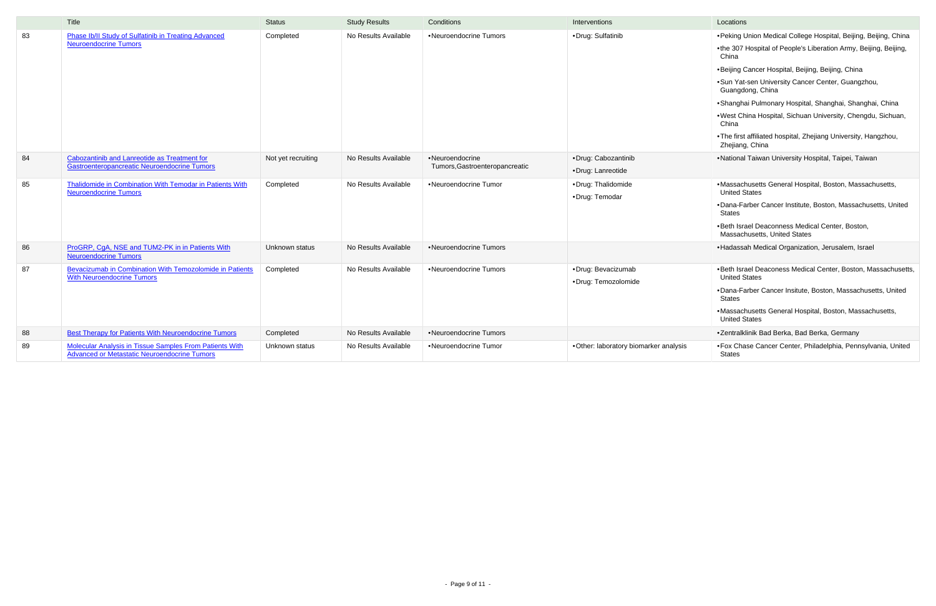|    | Title                                                                                                          | <b>Status</b>      | <b>Study Results</b> | Conditions                                        | Interventions                             | Locations                                                                                                                                                                                                                                                                                                                                                                                                                                                                                            |
|----|----------------------------------------------------------------------------------------------------------------|--------------------|----------------------|---------------------------------------------------|-------------------------------------------|------------------------------------------------------------------------------------------------------------------------------------------------------------------------------------------------------------------------------------------------------------------------------------------------------------------------------------------------------------------------------------------------------------------------------------------------------------------------------------------------------|
| 83 | Phase Ib/II Study of Sulfatinib in Treating Advanced<br><b>Neuroendocrine Tumors</b>                           | Completed          | No Results Available | •Neuroendocrine Tumors                            | ·Drug: Sulfatinib                         | •Peking Union Medical College Hospital, Beijing, Beijing, China<br>•the 307 Hospital of People's Liberation Army, Beijing, Beijing,<br>China<br>•Beijing Cancer Hospital, Beijing, Beijing, China<br>• Sun Yat-sen University Cancer Center, Guangzhou,<br>Guangdong, China<br>• Shanghai Pulmonary Hospital, Shanghai, Shanghai, China<br>.West China Hospital, Sichuan University, Chengdu, Sichuan,<br>China<br>.The first affiliated hospital, Zhejiang University, Hangzhou,<br>Zhejiang, China |
| 84 | Cabozantinib and Lanreotide as Treatment for<br>Gastroenteropancreatic Neuroendocrine Tumors                   | Not yet recruiting | No Results Available | •Neuroendocrine<br>Tumors, Gastroenteropancreatic | •Drug: Cabozantinib<br>•Drug: Lanreotide  | •National Taiwan University Hospital, Taipei, Taiwan                                                                                                                                                                                                                                                                                                                                                                                                                                                 |
| 85 | <b>Thalidomide in Combination With Temodar in Patients With</b><br><b>Neuroendocrine Tumors</b>                | Completed          | No Results Available | •Neuroendocrine Tumor                             | •Drug: Thalidomide<br>·Drug: Temodar      | •Massachusetts General Hospital, Boston, Massachusetts,<br><b>United States</b><br>•Dana-Farber Cancer Institute, Boston, Massachusetts, United<br>States<br>.Beth Israel Deaconness Medical Center, Boston,<br>Massachusetts, United States                                                                                                                                                                                                                                                         |
| 86 | ProGRP, CgA, NSE and TUM2-PK in in Patients With<br><b>Neuroendocrine Tumors</b>                               | Unknown status     | No Results Available | •Neuroendocrine Tumors                            |                                           | • Hadassah Medical Organization, Jerusalem, Israel                                                                                                                                                                                                                                                                                                                                                                                                                                                   |
| 87 | Bevacizumab in Combination With Temozolomide in Patients<br><b>With Neuroendocrine Tumors</b>                  | Completed          | No Results Available | •Neuroendocrine Tumors                            | •Drug: Bevacizumab<br>·Drug: Temozolomide | •Beth Israel Deaconess Medical Center, Boston, Massachusett<br><b>United States</b><br>•Dana-Farber Cancer Insitute, Boston, Massachusetts, United<br>States<br>•Massachusetts General Hospital, Boston, Massachusetts,<br><b>United States</b>                                                                                                                                                                                                                                                      |
| 88 | <b>Best Therapy for Patients With Neuroendocrine Tumors</b>                                                    | Completed          | No Results Available | •Neuroendocrine Tumors                            |                                           | •Zentralklinik Bad Berka, Bad Berka, Germany                                                                                                                                                                                                                                                                                                                                                                                                                                                         |
| 89 | <b>Molecular Analysis in Tissue Samples From Patients With</b><br>Advanced or Metastatic Neuroendocrine Tumors | Unknown status     | No Results Available | •Neuroendocrine Tumor                             | •Other: laboratory biomarker analysis     | • Fox Chase Cancer Center, Philadelphia, Pennsylvania, United<br><b>States</b>                                                                                                                                                                                                                                                                                                                                                                                                                       |

| Locations                                                                              |
|----------------------------------------------------------------------------------------|
| • Peking Union Medical College Hospital, Beijing, Beijing, China                       |
| •the 307 Hospital of People's Liberation Army, Beijing, Beijing,<br>China              |
| •Beijing Cancer Hospital, Beijing, Beijing, China                                      |
| • Sun Yat-sen University Cancer Center, Guangzhou,<br>Guangdong, China                 |
| •Shanghai Pulmonary Hospital, Shanghai, Shanghai, China                                |
| . West China Hospital, Sichuan University, Chengdu, Sichuan,<br>China                  |
| . The first affiliated hospital, Zhejiang University, Hangzhou,<br>Zhejiang, China     |
| •National Taiwan University Hospital, Taipei, Taiwan                                   |
| • Massachusetts General Hospital, Boston, Massachusetts,<br><b>United States</b>       |
| ·Dana-Farber Cancer Institute, Boston, Massachusetts, United<br>States                 |
| . Beth Israel Deaconness Medical Center, Boston,<br>Massachusetts, United States       |
| •Hadassah Medical Organization, Jerusalem, Israel                                      |
| . Beth Israel Deaconess Medical Center, Boston, Massachusetts,<br><b>United States</b> |
| •Dana-Farber Cancer Insitute, Boston, Massachusetts, United<br>States                  |
| • Massachusetts General Hospital, Boston, Massachusetts,<br><b>United States</b>       |
| •Zentralklinik Bad Berka, Bad Berka, Germany                                           |
| • Fox Chase Cancer Center, Philadelphia, Pennsylvania, United<br>States                |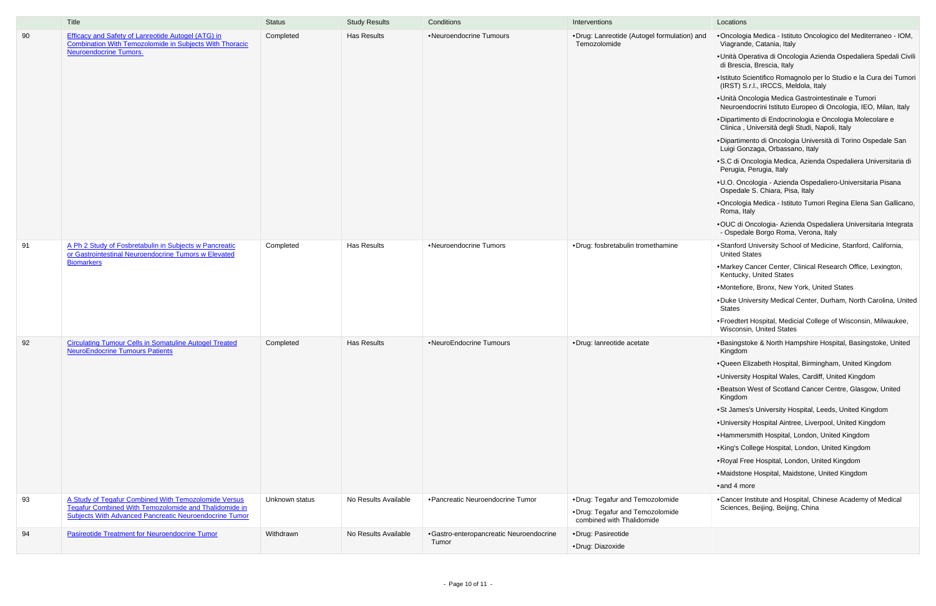|    | Title                                                                                                                                                                          | <b>Status</b>  | <b>Study Results</b> | Conditions                              | Interventions                                                                                    | Locations                                                                                                              |  |
|----|--------------------------------------------------------------------------------------------------------------------------------------------------------------------------------|----------------|----------------------|-----------------------------------------|--------------------------------------------------------------------------------------------------|------------------------------------------------------------------------------------------------------------------------|--|
| 90 | <b>Efficacy and Safety of Lanreotide Autogel (ATG) in</b><br><b>Combination With Temozolomide in Subjects With Thoracic</b>                                                    | Completed      | <b>Has Results</b>   | •Neuroendocrine Tumours                 | •Drug: Lanreotide (Autogel formulation) and<br>Temozolomide                                      | • Oncologia Medica - Istituto Oncologico del Mediterraneo - IOM,<br>Viagrande, Catania, Italy                          |  |
|    | <b>Neuroendocrine Tumors.</b>                                                                                                                                                  |                |                      |                                         |                                                                                                  | • Unità Operativa di Oncologia Azienda Ospedaliera Spedali Civili<br>di Brescia, Brescia, Italy                        |  |
|    |                                                                                                                                                                                |                |                      |                                         |                                                                                                  | • Istituto Scientifico Romagnolo per lo Studio e la Cura dei Tumori<br>(IRST) S.r.l., IRCCS, Meldola, Italy            |  |
|    |                                                                                                                                                                                |                |                      |                                         |                                                                                                  | • Unità Oncologia Medica Gastrointestinale e Tumori<br>Neuroendocrini Istituto Europeo di Oncologia, IEO, Milan, Italy |  |
|    |                                                                                                                                                                                |                |                      |                                         |                                                                                                  | • Dipartimento di Endocrinologia e Oncologia Molecolare e<br>Clinica, Università degli Studi, Napoli, Italy            |  |
|    |                                                                                                                                                                                |                |                      |                                         |                                                                                                  | • Dipartimento di Oncologia Università di Torino Ospedale San<br>Luigi Gonzaga, Orbassano, Italy                       |  |
|    |                                                                                                                                                                                |                |                      |                                         |                                                                                                  | • S.C di Oncologia Medica, Azienda Ospedaliera Universitaria di<br>Perugia, Perugia, Italy                             |  |
|    |                                                                                                                                                                                |                |                      |                                         |                                                                                                  | • U.O. Oncologia - Azienda Ospedaliero-Universitaria Pisana<br>Ospedale S. Chiara, Pisa, Italy                         |  |
|    |                                                                                                                                                                                |                |                      |                                         |                                                                                                  | • Oncologia Medica - Istituto Tumori Regina Elena San Gallicano,<br>Roma, Italy                                        |  |
|    |                                                                                                                                                                                |                |                      |                                         |                                                                                                  | •OUC di Oncologia- Azienda Ospedaliera Universitaria Integrata<br>- Ospedale Borgo Roma, Verona, Italy                 |  |
| 91 | A Ph 2 Study of Fosbretabulin in Subjects w Pancreatic<br>or Gastrointestinal Neuroendocrine Tumors w Elevated<br><b>Biomarkers</b>                                            | Completed      | <b>Has Results</b>   | •Neuroendocrine Tumors                  | ·Drug: fosbretabulin tromethamine                                                                | • Stanford University School of Medicine, Stanford, California,<br><b>United States</b>                                |  |
|    |                                                                                                                                                                                |                |                      |                                         |                                                                                                  | .Markey Cancer Center, Clinical Research Office, Lexington,<br>Kentucky, United States                                 |  |
|    |                                                                                                                                                                                |                |                      |                                         |                                                                                                  | .Montefiore, Bronx, New York, United States                                                                            |  |
|    |                                                                                                                                                                                |                |                      |                                         |                                                                                                  | .Duke University Medical Center, Durham, North Carolina, United<br><b>States</b>                                       |  |
|    |                                                                                                                                                                                |                |                      |                                         |                                                                                                  | • Froedtert Hospital, Medicial College of Wisconsin, Milwaukee,<br>Wisconsin, United States                            |  |
| 92 | <b>Circulating Tumour Cells in Somatuline Autogel Treated</b><br><b>NeuroEndocrine Tumours Patients</b>                                                                        | Completed      | <b>Has Results</b>   | •NeuroEndocrine Tumours                 | ·Drug: lanreotide acetate                                                                        | •Basingstoke & North Hampshire Hospital, Basingstoke, United<br>Kingdom                                                |  |
|    |                                                                                                                                                                                |                |                      |                                         |                                                                                                  | .Queen Elizabeth Hospital, Birmingham, United Kingdom                                                                  |  |
|    |                                                                                                                                                                                |                |                      |                                         |                                                                                                  | . University Hospital Wales, Cardiff, United Kingdom                                                                   |  |
|    |                                                                                                                                                                                |                |                      |                                         |                                                                                                  | . Beatson West of Scotland Cancer Centre, Glasgow, United<br>Kingdom                                                   |  |
|    |                                                                                                                                                                                |                |                      |                                         |                                                                                                  | •St James's University Hospital, Leeds, United Kingdom                                                                 |  |
|    |                                                                                                                                                                                |                |                      |                                         |                                                                                                  | . University Hospital Aintree, Liverpool, United Kingdom                                                               |  |
|    |                                                                                                                                                                                |                |                      |                                         |                                                                                                  | •Hammersmith Hospital, London, United Kingdom                                                                          |  |
|    |                                                                                                                                                                                |                |                      |                                         |                                                                                                  | • King's College Hospital, London, United Kingdom                                                                      |  |
|    |                                                                                                                                                                                |                |                      |                                         |                                                                                                  | • Royal Free Hospital, London, United Kingdom                                                                          |  |
|    |                                                                                                                                                                                |                |                      |                                         |                                                                                                  | •Maidstone Hospital, Maidstone, United Kingdom                                                                         |  |
|    |                                                                                                                                                                                |                |                      |                                         |                                                                                                  | •and 4 more                                                                                                            |  |
| 93 | A Study of Tegafur Combined With Temozolomide Versus<br>Tegafur Combined With Temozolomide and Thalidomide in<br><b>Subjects With Advanced Pancreatic Neuroendocrine Tumor</b> | Unknown status | No Results Available | • Pancreatic Neuroendocrine Tumor       | • Drug: Tegafur and Temozolomide<br>•Drug: Tegafur and Temozolomide<br>combined with Thalidomide | •Cancer Institute and Hospital, Chinese Academy of Medical<br>Sciences, Beijing, Beijing, China                        |  |
| 94 | <b>Pasireotide Treatment for Neuroendocrine Tumor</b>                                                                                                                          | Withdrawn      | No Results Available | •Gastro-enteropancreatic Neuroendocrine | ·Drug: Pasireotide                                                                               |                                                                                                                        |  |
|    |                                                                                                                                                                                |                |                      | Tumor                                   | ·Drug: Diazoxide                                                                                 |                                                                                                                        |  |